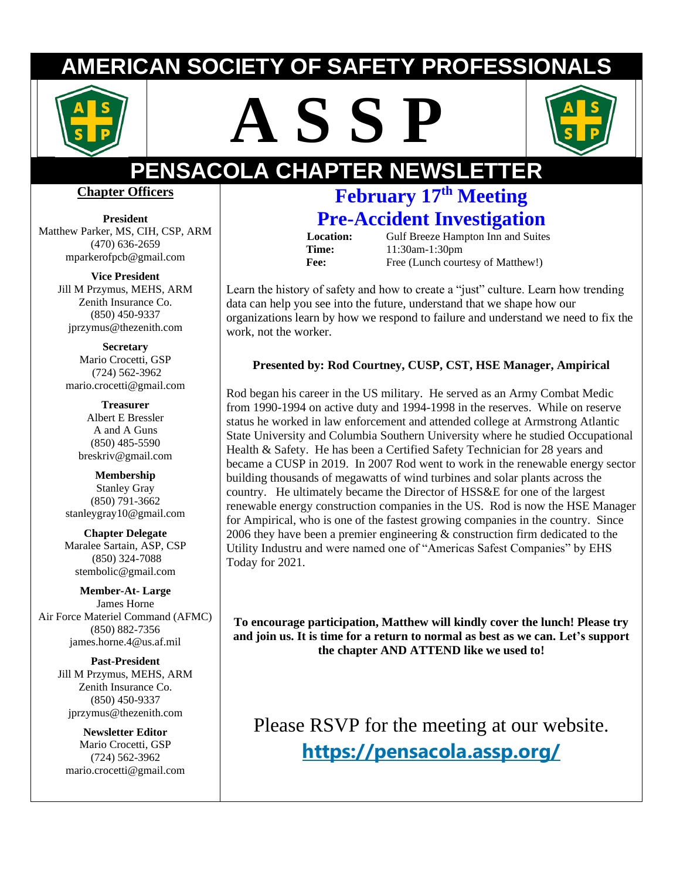# **ERICAN SOCIETY OF SAFETY PROFESSION**







# **PENSACOLA CHAPTER NEWSLET**

#### **Chapter Officers**

**President**  Matthew Parker, MS, CIH, CSP, ARM (470) 636-2659 mparkerofpcb@gmail.com

> **Vice President** Jill M Przymus, MEHS, ARM Zenith Insurance Co. (850) 450-9337 jprzymus@thezenith.com

**Secretary** Mario Crocetti, GSP (724) 562-3962 [mario.crocetti@gmail.com](mailto:stembolic@gmail.com)

**Treasurer** Albert E Bressler A and A Guns (850) 485-5590 [breskriv@gmail.com](mailto:breskriv@gmail.com)

**Membership** Stanley Gray (850) 791-3662 [stanleygray10@gmail.com](mailto:stanleygray10@gmail.com)

**Chapter Delegate** Maralee Sartain, ASP, CSP (850) 324-7088 [stembolic@gmail.com](mailto:stembolic@gmail.com)

**Member-At- Large** James Horne Air Force Materiel Command (AFMC) (850) 882-7356 james.horne.4@us.af.mil

> **Past-President** Jill M Przymus, MEHS, ARM Zenith Insurance Co. (850) 450-9337 jprzymus@thezenith.com

**Newsletter Editor** Mario Crocetti, GSP (724) 562-3962 mario.crocetti@gmail.com

## **February 17th Meeting Pre-Accident Investigation**

**Location:** Gulf Breeze Hampton Inn and Suites **Time:** 11:30am-1:30pm Fee: Free (Lunch courtesy of Matthew!)

Learn the history of safety and how to create a "just" culture. Learn how trending data can help you see into the future, understand that we shape how our organizations learn by how we respond to failure and understand we need to fix the work, not the worker.

#### **Presented by: Rod Courtney, CUSP, CST, HSE Manager, Ampirical**

Rod began his career in the US military. He served as an Army Combat Medic from 1990-1994 on active duty and 1994-1998 in the reserves. While on reserve status he worked in law enforcement and attended college at Armstrong Atlantic State University and Columbia Southern University where he studied Occupational Health & Safety. He has been a Certified Safety Technician for 28 years and became a CUSP in 2019. In 2007 Rod went to work in the renewable energy sector building thousands of megawatts of wind turbines and solar plants across the country. He ultimately became the Director of HSS&E for one of the largest renewable energy construction companies in the US. Rod is now the HSE Manager for Ampirical, who is one of the fastest growing companies in the country. Since 2006 they have been a premier engineering & construction firm dedicated to the Utility Industru and were named one of "Americas Safest Companies" by EHS Today for 2021.

**To encourage participation, Matthew will kindly cover the lunch! Please try and join us. It is time for a return to normal as best as we can. Let's support the chapter AND ATTEND like we used to!**

Please RSVP for the meeting at our website. **<https://pensacola.assp.org/>**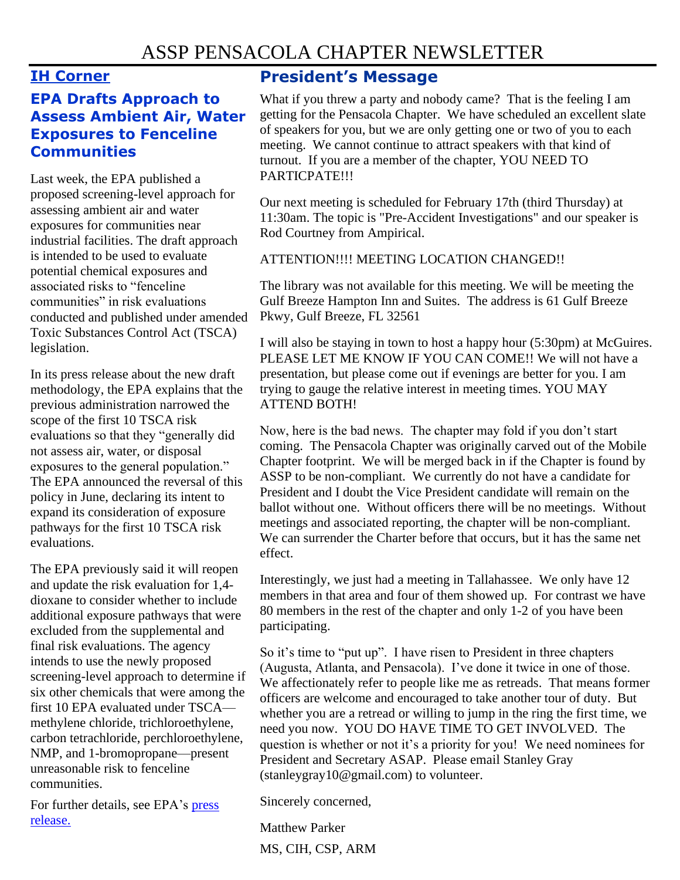#### **IH Corner**

#### **EPA Drafts Approach to Assess Ambient Air, Water Exposures to Fenceline Communities**

Last week, the EPA published a proposed screening-level approach for assessing ambient air and water exposures for communities near industrial facilities. The draft approach is intended to be used to evaluate potential chemical exposures and associated risks to "fenceline communities" in risk evaluations conducted and published under amended Toxic Substances Control Act (TSCA) legislation.

In its press release about the new draft methodology, the EPA explains that the previous administration narrowed the scope of the first 10 TSCA risk evaluations so that they "generally did not assess air, water, or disposal exposures to the general population." The EPA announced the reversal of this policy in June, declaring its intent to expand its consideration of exposure pathways for the first 10 TSCA risk evaluations.

The EPA previously said it will reopen and update the risk evaluation for 1,4 dioxane to consider whether to include additional exposure pathways that were excluded from the supplemental and final risk evaluations. The agency intends to use the newly proposed screening-level approach to determine if six other chemicals that were among the first 10 EPA evaluated under TSCA methylene chloride, trichloroethylene, carbon tetrachloride, perchloroethylene, NMP, and 1-bromopropane—present unreasonable risk to fenceline communities.

For further details, see EPA's [press](https://www.epa.gov/newsreleases/epa-releases-screening-methodology-evaluate-chemical-exposures-and-risks-fenceline)  [release.](https://www.epa.gov/newsreleases/epa-releases-screening-methodology-evaluate-chemical-exposures-and-risks-fenceline)

### **President's Message**

What if you threw a party and nobody came? That is the feeling I am getting for the Pensacola Chapter. We have scheduled an excellent slate of speakers for you, but we are only getting one or two of you to each meeting. We cannot continue to attract speakers with that kind of turnout. If you are a member of the chapter, YOU NEED TO PARTICPATE!!!

Our next meeting is scheduled for February 17th (third Thursday) at 11:30am. The topic is "Pre-Accident Investigations" and our speaker is Rod Courtney from Ampirical.

#### ATTENTION!!!! MEETING LOCATION CHANGED!!

The library was not available for this meeting. We will be meeting the Gulf Breeze Hampton Inn and Suites. The address is 61 Gulf Breeze Pkwy, Gulf Breeze, FL 32561

I will also be staying in town to host a happy hour (5:30pm) at McGuires. PLEASE LET ME KNOW IF YOU CAN COME!! We will not have a presentation, but please come out if evenings are better for you. I am trying to gauge the relative interest in meeting times. YOU MAY ATTEND BOTH!

Now, here is the bad news. The chapter may fold if you don't start coming. The Pensacola Chapter was originally carved out of the Mobile Chapter footprint. We will be merged back in if the Chapter is found by ASSP to be non-compliant. We currently do not have a candidate for President and I doubt the Vice President candidate will remain on the ballot without one. Without officers there will be no meetings. Without meetings and associated reporting, the chapter will be non-compliant. We can surrender the Charter before that occurs, but it has the same net effect.

Interestingly, we just had a meeting in Tallahassee. We only have 12 members in that area and four of them showed up. For contrast we have 80 members in the rest of the chapter and only 1-2 of you have been participating.

So it's time to "put up". I have risen to President in three chapters (Augusta, Atlanta, and Pensacola). I've done it twice in one of those. We affectionately refer to people like me as retreads. That means former officers are welcome and encouraged to take another tour of duty. But whether you are a retread or willing to jump in the ring the first time, we need you now. YOU DO HAVE TIME TO GET INVOLVED. The question is whether or not it's a priority for you! We need nominees for President and Secretary ASAP. Please email Stanley Gray (stanleygray10@gmail.com) to volunteer.

Sincerely concerned,

Matthew Parker MS, CIH, CSP, ARM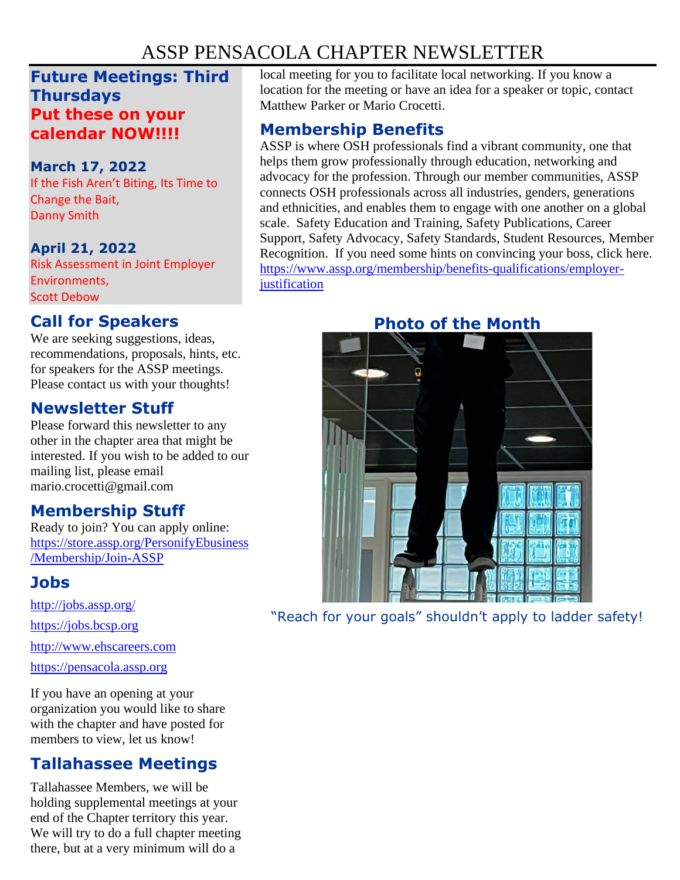## ASSP PENSACOLA CHAPTER NEWSLETTER

#### **Future Meetings: Third Thursdays Put these on your calendar NOW!!!!**

#### **March 17, 2022**

If the Fish Aren't Biting, Its Time to Change the Bait, Danny Smith

#### **April 21, 2022**

Risk Assessment in Joint Employer Environments, Scott Debow

### **Call for Speakers**

We are seeking suggestions, ideas, recommendations, proposals, hints, etc. for speakers for the ASSP meetings. Please contact us with your thoughts!

#### **Newsletter Stuff**

Please forward this newsletter to any other in the chapter area that might be interested. If you wish to be added to our mailing list, please email mario.crocetti@gmail.com

#### **Membership Stuff**

Ready to join? You can apply online: [https://store.assp.org/PersonifyEbusiness](https://store.assp.org/PersonifyEbusiness/Membership/Join-ASSP) [/Membership/Join-ASSP](https://store.assp.org/PersonifyEbusiness/Membership/Join-ASSP)

## **Jobs**

<http://jobs.assp.org/>

[https://jobs.bcsp.org](https://jobs.bcsp.org/)

[http://www.ehscareers.com](http://www.ehscareers.com/)

[https://pensacola.assp.org](https://pensacola.assp.org/)

If you have an opening at your organization you would like to share with the chapter and have posted for members to view, let us know!

## **Tallahassee Meetings**

Tallahassee Members, we will be holding supplemental meetings at your end of the Chapter territory this year. We will try to do a full chapter meeting there, but at a very minimum will do a

local meeting for you to facilitate local networking. If you know a location for the meeting or have an idea for a speaker or topic, contact Matthew Parker or Mario Crocetti.

### **Membership Benefits**

ASSP is where OSH professionals find a vibrant community, one that helps them grow professionally through education, networking and advocacy for the profession. Through our member communities, ASSP connects OSH professionals across all industries, genders, generations and ethnicities, and enables them to engage with one another on a global scale. Safety Education and Training, Safety Publications, Career Support, Safety Advocacy, Safety Standards, Student Resources, Member Recognition. If you need some hints on convincing your boss, click here. [https://www.assp.org/membership/benefits-qualifications/employer](https://www.assp.org/membership/benefits-qualifications/employer-justification)**[justification](https://www.assp.org/membership/benefits-qualifications/employer-justification)** 



"Reach for your goals" shouldn't apply to ladder safety!

## **Photo of the Month**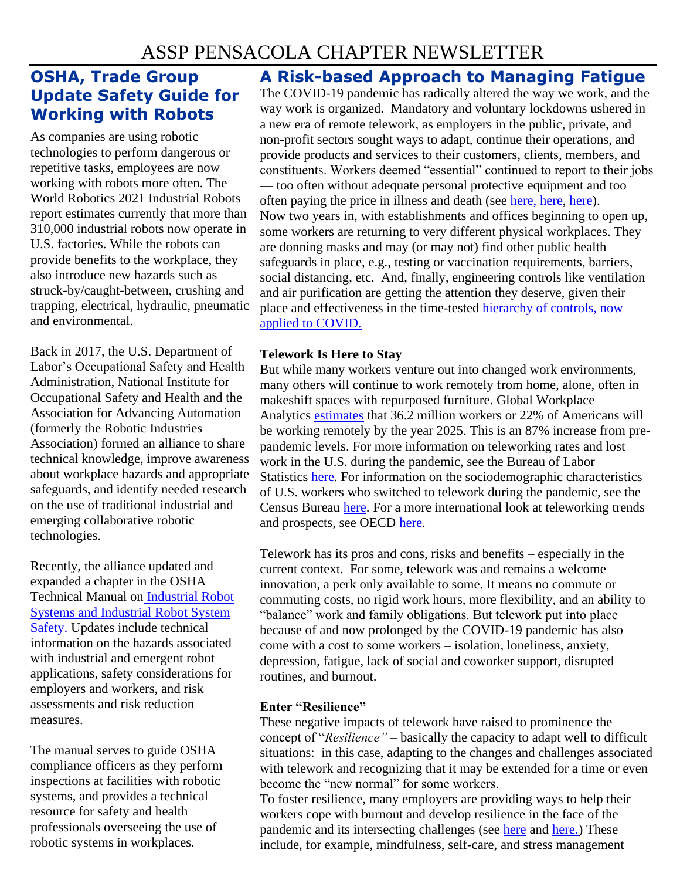#### **OSHA, Trade Group Update Safety Guide for Working with Robots**

As companies are using robotic technologies to perform dangerous or repetitive tasks, employees are now working with robots more often. The World Robotics 2021 Industrial Robots report estimates currently that more than 310,000 industrial robots now operate in U.S. factories. While the robots can provide benefits to the workplace, they also introduce new hazards such as struck-by/caught-between, crushing and trapping, electrical, hydraulic, pneumatic and environmental.

Back in 2017, the U.S. Department of Labor's Occupational Safety and Health Administration, National Institute for Occupational Safety and Health and the Association for Advancing Automation (formerly the Robotic Industries Association) formed an alliance to share technical knowledge, improve awareness about workplace hazards and appropriate safeguards, and identify needed research on the use of traditional industrial and emerging collaborative robotic technologies.

Recently, the alliance updated and expanded a chapter in the OSHA Technical Manual on [Industrial Robot](https://www.osha.gov/otm/section-4-safety-hazards/chapter-4#safety)  [Systems and Industrial Robot System](https://www.osha.gov/otm/section-4-safety-hazards/chapter-4#safety)  [Safety.](https://www.osha.gov/otm/section-4-safety-hazards/chapter-4#safety) Updates include technical information on the hazards associated with industrial and emergent robot applications, safety considerations for employers and workers, and risk assessments and risk reduction measures.

The manual serves to guide OSHA compliance officers as they perform inspections at facilities with robotic systems, and provides a technical resource for safety and health professionals overseeing the use of robotic systems in workplaces.

## **A Risk-based Approach to Managing Fatigue**

The COVID-19 pandemic has radically altered the way we work, and the way work is organized. Mandatory and voluntary lockdowns ushered in a new era of remote telework, as employers in the public, private, and non-profit sectors sought ways to adapt, continue their operations, and provide products and services to their customers, clients, members, and constituents. Workers deemed "essential" continued to report to their jobs — too often without adequate personal protective equipment and too often paying the price in illness and death (see [here,](https://thecounter.org/covid-19-cases-deaths-meatpacking-plants-far-higher-house-subcommittee/) [here,](https://www.advisory.com/daily-briefing/2021/04/14/health-care-workers-toll) [here\)](https://www.who.int/news/item/20-10-2021-health-and-care-worker-deaths-during-covid-19). Now two years in, with establishments and offices beginning to open up, some workers are returning to very different physical workplaces. They are donning masks and may (or may not) find other public health safeguards in place, e.g., testing or vaccination requirements, barriers, social distancing, etc. And, finally, engineering controls like ventilation and air purification are getting the attention they deserve, given their place and effectiveness in the time-tested [hierarchy of controls, now](https://tools.niehs.nih.gov/wetp/public/hasl_get_blob.cfm?ID=12543)  [applied to COVID.](https://tools.niehs.nih.gov/wetp/public/hasl_get_blob.cfm?ID=12543)

#### **Telework Is Here to Stay**

But while many workers venture out into changed work environments, many others will continue to work remotely from home, alone, often in makeshift spaces with repurposed furniture. Global Workplace Analytics [estimates](https://www.apollotechnical.com/statistics-on-remote-workers/#:~:text=Global%20Workplace%20Analytics%20estimates%20that%2025%2D30%25%20of%20the%20workforce,be%20working%20remotely%20by%202030.) that 36.2 million workers or 22% of Americans will be working remotely by the year 2025. This is an 87% increase from prepandemic levels. For more information on teleworking rates and lost work in the U.S. during the pandemic, see the Bureau of Labor Statistics [here.](https://www.bls.gov/opub/mlr/2021/article/teleworking-and-lost-work-during-the-pandemic-new-evidence-from-the-cps.htm) For information on the sociodemographic characteristics of U.S. workers who switched to telework during the pandemic, see the Census Bureau [here.](https://www.census.gov/library/stories/2021/03/working-from-home-during-the-pandemic.html) For a more international look at teleworking trends and prospects, see OECD [here.](https://www.oecd.org/coronavirus/policy-responses/teleworking-in-the-covid-19-pandemic-trends-and-prospects-72a416b6/)

Telework has its pros and cons, risks and benefits – especially in the current context. For some, telework was and remains a welcome innovation, a perk only available to some. It means no commute or commuting costs, no rigid work hours, more flexibility, and an ability to "balance" work and family obligations. But telework put into place because of and now prolonged by the COVID-19 pandemic has also come with a cost to some workers – isolation, loneliness, anxiety, depression, fatigue, lack of social and coworker support, disrupted routines, and burnout.

#### **Enter "Resilience"**

These negative impacts of telework have raised to prominence the concept of "*Resilience" –* basically the capacity to adapt well to difficult situations: in this case, adapting to the changes and challenges associated with telework and recognizing that it may be extended for a time or even become the "new normal" for some workers.

To foster resilience, many employers are providing ways to help their workers cope with burnout and develop resilience in the face of the pandemic and its intersecting challenges (see [here](https://www.prnewswire.com/news-releases/mental-health-digital-solutions-top-list-of-employee-wellness-trends-for-2022-according-to-wellable-labs-report-301453839.html) and [here.\)](https://www.benefitspro.com/2022/01/05/90-of-employers-say-theyre-investing-more-in-mental-health-programs/) These include, for example, mindfulness, self-care, and stress management